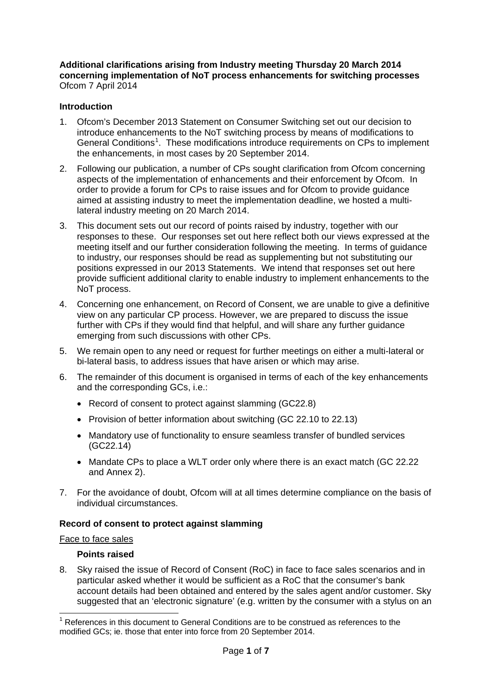**Additional clarifications arising from Industry meeting Thursday 20 March 2014 concerning implementation of NoT process enhancements for switching processes** Ofcom 7 April 2014

# **Introduction**

- 1. Ofcom's December 2013 Statement on Consumer Switching set out our decision to introduce enhancements to the NoT switching process by means of modifications to General Conditions<sup>[1](#page-0-0)</sup>. These modifications introduce requirements on CPs to implement the enhancements, in most cases by 20 September 2014.
- 2. Following our publication, a number of CPs sought clarification from Ofcom concerning aspects of the implementation of enhancements and their enforcement by Ofcom. In order to provide a forum for CPs to raise issues and for Ofcom to provide guidance aimed at assisting industry to meet the implementation deadline, we hosted a multilateral industry meeting on 20 March 2014.
- 3. This document sets out our record of points raised by industry, together with our responses to these. Our responses set out here reflect both our views expressed at the meeting itself and our further consideration following the meeting. In terms of guidance to industry, our responses should be read as supplementing but not substituting our positions expressed in our 2013 Statements. We intend that responses set out here provide sufficient additional clarity to enable industry to implement enhancements to the NoT process.
- 4. Concerning one enhancement, on Record of Consent, we are unable to give a definitive view on any particular CP process. However, we are prepared to discuss the issue further with CPs if they would find that helpful, and will share any further guidance emerging from such discussions with other CPs.
- 5. We remain open to any need or request for further meetings on either a multi-lateral or bi-lateral basis, to address issues that have arisen or which may arise.
- 6. The remainder of this document is organised in terms of each of the key enhancements and the corresponding GCs, i.e.:
	- Record of consent to protect against slamming (GC22.8)
	- Provision of better information about switching (GC 22.10 to 22.13)
	- Mandatory use of functionality to ensure seamless transfer of bundled services (GC22.14)
	- Mandate CPs to place a WLT order only where there is an exact match (GC 22.22) and Annex 2).
- 7. For the avoidance of doubt, Ofcom will at all times determine compliance on the basis of individual circumstances.

## **Record of consent to protect against slamming**

### Face to face sales

## **Points raised**

8. Sky raised the issue of Record of Consent (RoC) in face to face sales scenarios and in particular asked whether it would be sufficient as a RoC that the consumer's bank account details had been obtained and entered by the sales agent and/or customer. Sky suggested that an 'electronic signature' (e.g. written by the consumer with a stylus on an

<span id="page-0-0"></span> $1$  References in this document to General Conditions are to be construed as references to the modified GCs; ie. those that enter into force from 20 September 2014.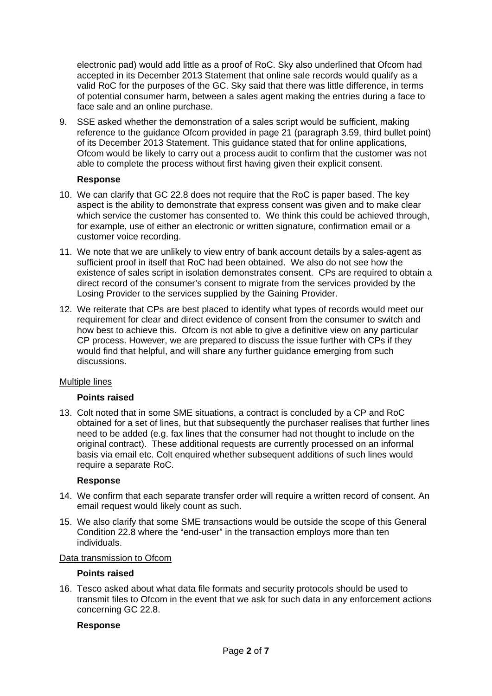electronic pad) would add little as a proof of RoC. Sky also underlined that Ofcom had accepted in its December 2013 Statement that online sale records would qualify as a valid RoC for the purposes of the GC. Sky said that there was little difference, in terms of potential consumer harm, between a sales agent making the entries during a face to face sale and an online purchase.

9. SSE asked whether the demonstration of a sales script would be sufficient, making reference to the guidance Ofcom provided in page 21 (paragraph 3.59, third bullet point) of its December 2013 Statement. This guidance stated that for online applications, Ofcom would be likely to carry out a process audit to confirm that the customer was not able to complete the process without first having given their explicit consent.

## **Response**

- 10. We can clarify that GC 22.8 does not require that the RoC is paper based. The key aspect is the ability to demonstrate that express consent was given and to make clear which service the customer has consented to. We think this could be achieved through, for example, use of either an electronic or written signature, confirmation email or a customer voice recording.
- 11. We note that we are unlikely to view entry of bank account details by a sales-agent as sufficient proof in itself that RoC had been obtained. We also do not see how the existence of sales script in isolation demonstrates consent. CPs are required to obtain a direct record of the consumer's consent to migrate from the services provided by the Losing Provider to the services supplied by the Gaining Provider.
- 12. We reiterate that CPs are best placed to identify what types of records would meet our requirement for clear and direct evidence of consent from the consumer to switch and how best to achieve this. Ofcom is not able to give a definitive view on any particular CP process. However, we are prepared to discuss the issue further with CPs if they would find that helpful, and will share any further guidance emerging from such discussions.

## Multiple lines

## **Points raised**

13. Colt noted that in some SME situations, a contract is concluded by a CP and RoC obtained for a set of lines, but that subsequently the purchaser realises that further lines need to be added (e.g. fax lines that the consumer had not thought to include on the original contract). These additional requests are currently processed on an informal basis via email etc. Colt enquired whether subsequent additions of such lines would require a separate RoC.

## **Response**

- 14. We confirm that each separate transfer order will require a written record of consent. An email request would likely count as such.
- 15. We also clarify that some SME transactions would be outside the scope of this General Condition 22.8 where the "end-user" in the transaction employs more than ten individuals.

## Data transmission to Ofcom

## **Points raised**

16. Tesco asked about what data file formats and security protocols should be used to transmit files to Ofcom in the event that we ask for such data in any enforcement actions concerning GC 22.8.

### **Response**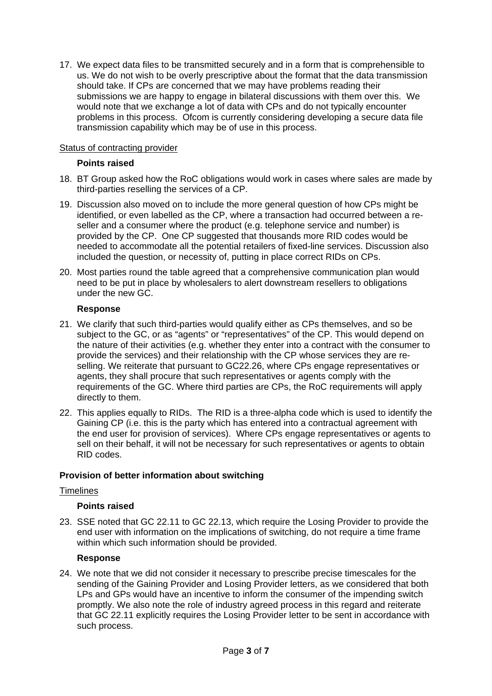17. We expect data files to be transmitted securely and in a form that is comprehensible to us. We do not wish to be overly prescriptive about the format that the data transmission should take. If CPs are concerned that we may have problems reading their submissions we are happy to engage in bilateral discussions with them over this. We would note that we exchange a lot of data with CPs and do not typically encounter problems in this process. Ofcom is currently considering developing a secure data file transmission capability which may be of use in this process.

## Status of contracting provider

## **Points raised**

- 18. BT Group asked how the RoC obligations would work in cases where sales are made by third-parties reselling the services of a CP.
- 19. Discussion also moved on to include the more general question of how CPs might be identified, or even labelled as the CP, where a transaction had occurred between a reseller and a consumer where the product (e.g. telephone service and number) is provided by the CP. One CP suggested that thousands more RID codes would be needed to accommodate all the potential retailers of fixed-line services. Discussion also included the question, or necessity of, putting in place correct RIDs on CPs.
- 20. Most parties round the table agreed that a comprehensive communication plan would need to be put in place by wholesalers to alert downstream resellers to obligations under the new GC.

### **Response**

- 21. We clarify that such third-parties would qualify either as CPs themselves, and so be subject to the GC, or as "agents" or "representatives" of the CP. This would depend on the nature of their activities (e.g. whether they enter into a contract with the consumer to provide the services) and their relationship with the CP whose services they are reselling. We reiterate that pursuant to GC22.26, where CPs engage representatives or agents, they shall procure that such representatives or agents comply with the requirements of the GC. Where third parties are CPs, the RoC requirements will apply directly to them.
- 22. This applies equally to RIDs. The RID is a three-alpha code which is used to identify the Gaining CP (i.e. this is the party which has entered into a contractual agreement with the end user for provision of services). Where CPs engage representatives or agents to sell on their behalf, it will not be necessary for such representatives or agents to obtain RID codes.

## **Provision of better information about switching**

## **Timelines**

## **Points raised**

23. SSE noted that GC 22.11 to GC 22.13, which require the Losing Provider to provide the end user with information on the implications of switching, do not require a time frame within which such information should be provided.

### **Response**

24. We note that we did not consider it necessary to prescribe precise timescales for the sending of the Gaining Provider and Losing Provider letters, as we considered that both LPs and GPs would have an incentive to inform the consumer of the impending switch promptly. We also note the role of industry agreed process in this regard and reiterate that GC 22.11 explicitly requires the Losing Provider letter to be sent in accordance with such process.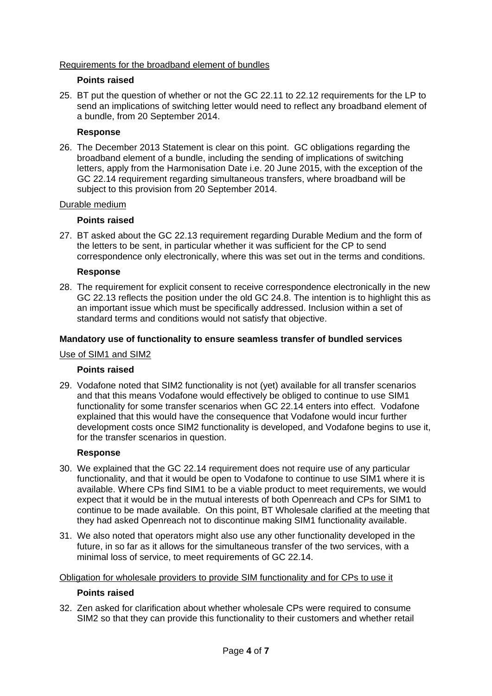## Requirements for the broadband element of bundles

## **Points raised**

25. BT put the question of whether or not the GC 22.11 to 22.12 requirements for the LP to send an implications of switching letter would need to reflect any broadband element of a bundle, from 20 September 2014.

## **Response**

26. The December 2013 Statement is clear on this point. GC obligations regarding the broadband element of a bundle, including the sending of implications of switching letters, apply from the Harmonisation Date i.e. 20 June 2015, with the exception of the GC 22.14 requirement regarding simultaneous transfers, where broadband will be subject to this provision from 20 September 2014.

## Durable medium

# **Points raised**

27. BT asked about the GC 22.13 requirement regarding Durable Medium and the form of the letters to be sent, in particular whether it was sufficient for the CP to send correspondence only electronically, where this was set out in the terms and conditions.

## **Response**

28. The requirement for explicit consent to receive correspondence electronically in the new GC 22.13 reflects the position under the old GC 24.8. The intention is to highlight this as an important issue which must be specifically addressed. Inclusion within a set of standard terms and conditions would not satisfy that objective.

## **Mandatory use of functionality to ensure seamless transfer of bundled services**

## Use of SIM1 and SIM2

## **Points raised**

29. Vodafone noted that SIM2 functionality is not (yet) available for all transfer scenarios and that this means Vodafone would effectively be obliged to continue to use SIM1 functionality for some transfer scenarios when GC 22.14 enters into effect. Vodafone explained that this would have the consequence that Vodafone would incur further development costs once SIM2 functionality is developed, and Vodafone begins to use it, for the transfer scenarios in question.

## **Response**

- 30. We explained that the GC 22.14 requirement does not require use of any particular functionality, and that it would be open to Vodafone to continue to use SIM1 where it is available. Where CPs find SIM1 to be a viable product to meet requirements, we would expect that it would be in the mutual interests of both Openreach and CPs for SIM1 to continue to be made available. On this point, BT Wholesale clarified at the meeting that they had asked Openreach not to discontinue making SIM1 functionality available.
- 31. We also noted that operators might also use any other functionality developed in the future, in so far as it allows for the simultaneous transfer of the two services, with a minimal loss of service, to meet requirements of GC 22.14.

## Obligation for wholesale providers to provide SIM functionality and for CPs to use it

## **Points raised**

32. Zen asked for clarification about whether wholesale CPs were required to consume SIM2 so that they can provide this functionality to their customers and whether retail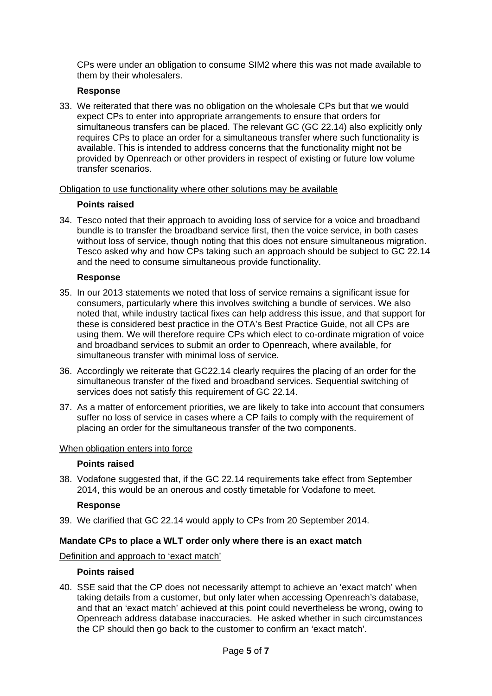CPs were under an obligation to consume SIM2 where this was not made available to them by their wholesalers.

## **Response**

33. We reiterated that there was no obligation on the wholesale CPs but that we would expect CPs to enter into appropriate arrangements to ensure that orders for simultaneous transfers can be placed. The relevant GC (GC 22.14) also explicitly only requires CPs to place an order for a simultaneous transfer where such functionality is available. This is intended to address concerns that the functionality might not be provided by Openreach or other providers in respect of existing or future low volume transfer scenarios.

Obligation to use functionality where other solutions may be available

## **Points raised**

34. Tesco noted that their approach to avoiding loss of service for a voice and broadband bundle is to transfer the broadband service first, then the voice service, in both cases without loss of service, though noting that this does not ensure simultaneous migration. Tesco asked why and how CPs taking such an approach should be subject to GC 22.14 and the need to consume simultaneous provide functionality.

## **Response**

- 35. In our 2013 statements we noted that loss of service remains a significant issue for consumers, particularly where this involves switching a bundle of services. We also noted that, while industry tactical fixes can help address this issue, and that support for these is considered best practice in the OTA's Best Practice Guide, not all CPs are using them. We will therefore require CPs which elect to co-ordinate migration of voice and broadband services to submit an order to Openreach, where available, for simultaneous transfer with minimal loss of service.
- 36. Accordingly we reiterate that GC22.14 clearly requires the placing of an order for the simultaneous transfer of the fixed and broadband services. Sequential switching of services does not satisfy this requirement of GC 22.14.
- 37. As a matter of enforcement priorities, we are likely to take into account that consumers suffer no loss of service in cases where a CP fails to comply with the requirement of placing an order for the simultaneous transfer of the two components.

### When obligation enters into force

## **Points raised**

38. Vodafone suggested that, if the GC 22.14 requirements take effect from September 2014, this would be an onerous and costly timetable for Vodafone to meet.

## **Response**

39. We clarified that GC 22.14 would apply to CPs from 20 September 2014.

## **Mandate CPs to place a WLT order only where there is an exact match**

Definition and approach to 'exact match'

### **Points raised**

40. SSE said that the CP does not necessarily attempt to achieve an 'exact match' when taking details from a customer, but only later when accessing Openreach's database, and that an 'exact match' achieved at this point could nevertheless be wrong, owing to Openreach address database inaccuracies. He asked whether in such circumstances the CP should then go back to the customer to confirm an 'exact match'.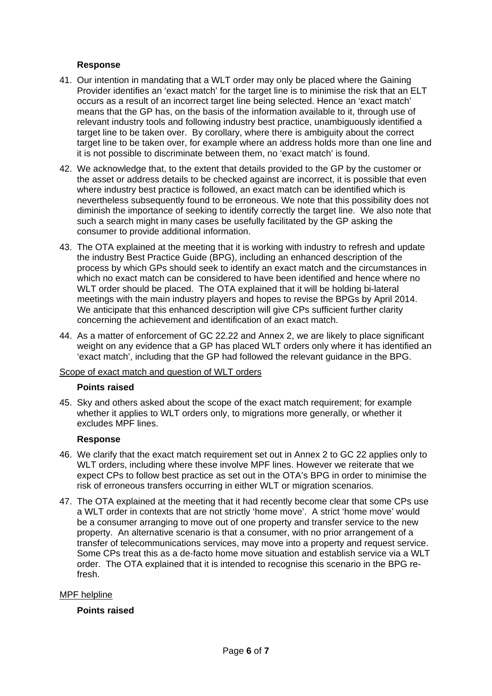## **Response**

- 41. Our intention in mandating that a WLT order may only be placed where the Gaining Provider identifies an 'exact match' for the target line is to minimise the risk that an ELT occurs as a result of an incorrect target line being selected. Hence an 'exact match' means that the GP has, on the basis of the information available to it, through use of relevant industry tools and following industry best practice, unambiguously identified a target line to be taken over. By corollary, where there is ambiguity about the correct target line to be taken over, for example where an address holds more than one line and it is not possible to discriminate between them, no 'exact match' is found.
- 42. We acknowledge that, to the extent that details provided to the GP by the customer or the asset or address details to be checked against are incorrect, it is possible that even where industry best practice is followed, an exact match can be identified which is nevertheless subsequently found to be erroneous. We note that this possibility does not diminish the importance of seeking to identify correctly the target line. We also note that such a search might in many cases be usefully facilitated by the GP asking the consumer to provide additional information.
- 43. The OTA explained at the meeting that it is working with industry to refresh and update the industry Best Practice Guide (BPG), including an enhanced description of the process by which GPs should seek to identify an exact match and the circumstances in which no exact match can be considered to have been identified and hence where no WLT order should be placed. The OTA explained that it will be holding bi-lateral meetings with the main industry players and hopes to revise the BPGs by April 2014. We anticipate that this enhanced description will give CPs sufficient further clarity concerning the achievement and identification of an exact match.
- 44. As a matter of enforcement of GC 22.22 and Annex 2, we are likely to place significant weight on any evidence that a GP has placed WLT orders only where it has identified an 'exact match', including that the GP had followed the relevant guidance in the BPG.

### Scope of exact match and question of WLT orders

### **Points raised**

45. Sky and others asked about the scope of the exact match requirement; for example whether it applies to WLT orders only, to migrations more generally, or whether it excludes MPF lines.

### **Response**

- 46. We clarify that the exact match requirement set out in Annex 2 to GC 22 applies only to WLT orders, including where these involve MPF lines. However we reiterate that we expect CPs to follow best practice as set out in the OTA's BPG in order to minimise the risk of erroneous transfers occurring in either WLT or migration scenarios.
- 47. The OTA explained at the meeting that it had recently become clear that some CPs use a WLT order in contexts that are not strictly 'home move'. A strict 'home move' would be a consumer arranging to move out of one property and transfer service to the new property. An alternative scenario is that a consumer, with no prior arrangement of a transfer of telecommunications services, may move into a property and request service. Some CPs treat this as a de-facto home move situation and establish service via a WLT order. The OTA explained that it is intended to recognise this scenario in the BPG refresh.

### MPF helpline

## **Points raised**